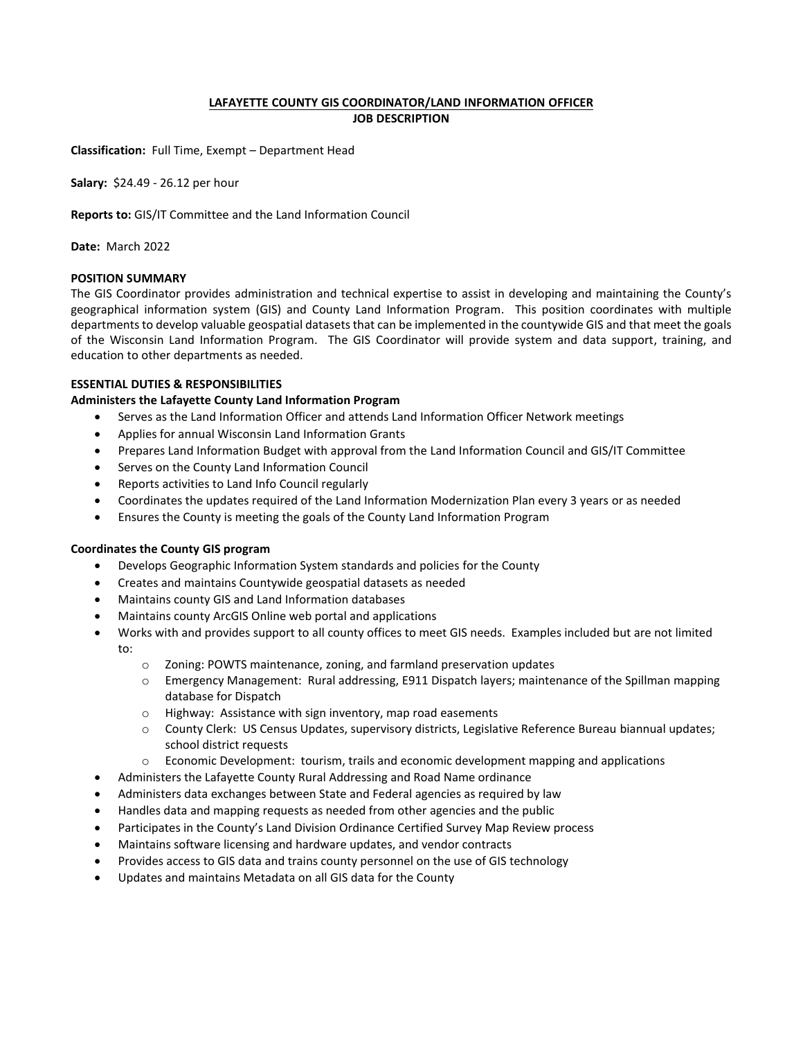## **LAFAYETTE COUNTY GIS COORDINATOR/LAND INFORMATION OFFICER JOB DESCRIPTION**

**Classification:** Full Time, Exempt – Department Head

**Salary:** \$24.49 - 26.12 per hour

**Reports to:** GIS/IT Committee and the Land Information Council

**Date:** March 2022

# **POSITION SUMMARY**

The GIS Coordinator provides administration and technical expertise to assist in developing and maintaining the County's geographical information system (GIS) and County Land Information Program. This position coordinates with multiple departments to develop valuable geospatial datasets that can be implemented in the countywide GIS and that meet the goals of the Wisconsin Land Information Program. The GIS Coordinator will provide system and data support, training, and education to other departments as needed.

### **ESSENTIAL DUTIES & RESPONSIBILITIES**

## **Administers the Lafayette County Land Information Program**

- Serves as the Land Information Officer and attends Land Information Officer Network meetings
- Applies for annual Wisconsin Land Information Grants
- Prepares Land Information Budget with approval from the Land Information Council and GIS/IT Committee
- Serves on the County Land Information Council
- Reports activities to Land Info Council regularly
- Coordinates the updates required of the Land Information Modernization Plan every 3 years or as needed
- Ensures the County is meeting the goals of the County Land Information Program

## **Coordinates the County GIS program**

- Develops Geographic Information System standards and policies for the County
- Creates and maintains Countywide geospatial datasets as needed
- Maintains county GIS and Land Information databases
- Maintains county ArcGIS Online web portal and applications
- Works with and provides support to all county offices to meet GIS needs. Examples included but are not limited to:
	- o Zoning: POWTS maintenance, zoning, and farmland preservation updates
	- $\circ$  Emergency Management: Rural addressing, E911 Dispatch layers; maintenance of the Spillman mapping database for Dispatch
	- o Highway: Assistance with sign inventory, map road easements
	- o County Clerk: US Census Updates, supervisory districts, Legislative Reference Bureau biannual updates; school district requests
	- $\circ$  Economic Development: tourism, trails and economic development mapping and applications
- Administers the Lafayette County Rural Addressing and Road Name ordinance
- Administers data exchanges between State and Federal agencies as required by law
- Handles data and mapping requests as needed from other agencies and the public
- Participates in the County's Land Division Ordinance Certified Survey Map Review process
- Maintains software licensing and hardware updates, and vendor contracts
- Provides access to GIS data and trains county personnel on the use of GIS technology
- Updates and maintains Metadata on all GIS data for the County